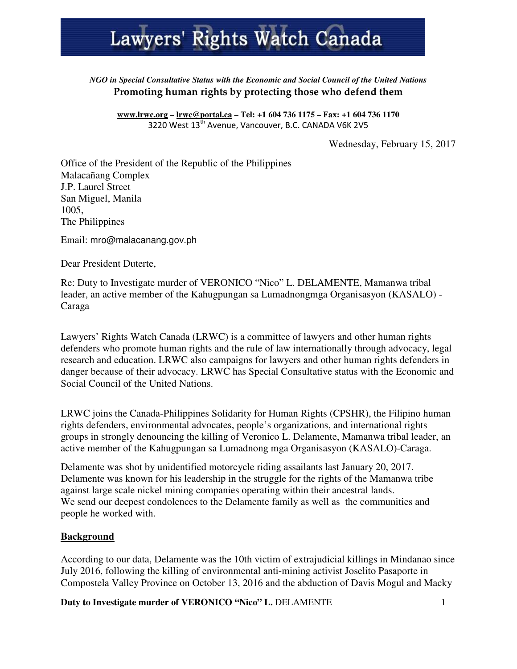# Lawyers' Rights Watch Canada

#### *NGO in Special Consultative Status with the Economic and Social Council of the United Nations* Promoting human rights by protecting those who defend them

**www.lrwc.org – lrwc@portal.ca – Tel: +1 604 736 1175 – Fax: +1 604 736 1170** 3220 West  $13^{th}$  Avenue, Vancouver, B.C. CANADA V6K 2V5

Wednesday, February 15, 2017

Office of the President of the Republic of the Philippines Malacañang Complex J.P. Laurel Street San Miguel, Manila 1005, The Philippines

Email: mro@malacanang.gov.ph

Dear President Duterte,

Re: Duty to Investigate murder of VERONICO "Nico" L. DELAMENTE, Mamanwa tribal leader, an active member of the Kahugpungan sa Lumadnongmga Organisasyon (KASALO) - Caraga

Lawyers' Rights Watch Canada (LRWC) is a committee of lawyers and other human rights defenders who promote human rights and the rule of law internationally through advocacy, legal research and education. LRWC also campaigns for lawyers and other human rights defenders in danger because of their advocacy. LRWC has Special Consultative status with the Economic and Social Council of the United Nations.

LRWC joins the Canada-Philippines Solidarity for Human Rights (CPSHR), the Filipino human rights defenders, environmental advocates, people's organizations, and international rights groups in strongly denouncing the killing of Veronico L. Delamente, Mamanwa tribal leader, an active member of the Kahugpungan sa Lumadnong mga Organisasyon (KASALO)-Caraga.

Delamente was shot by unidentified motorcycle riding assailants last January 20, 2017. Delamente was known for his leadership in the struggle for the rights of the Mamanwa tribe against large scale nickel mining companies operating within their ancestral lands. We send our deepest condolences to the Delamente family as well as the communities and people he worked with.

#### **Background**

According to our data, Delamente was the 10th victim of extrajudicial killings in Mindanao since July 2016, following the killing of environmental anti-mining activist Joselito Pasaporte in Compostela Valley Province on October 13, 2016 and the abduction of Davis Mogul and Macky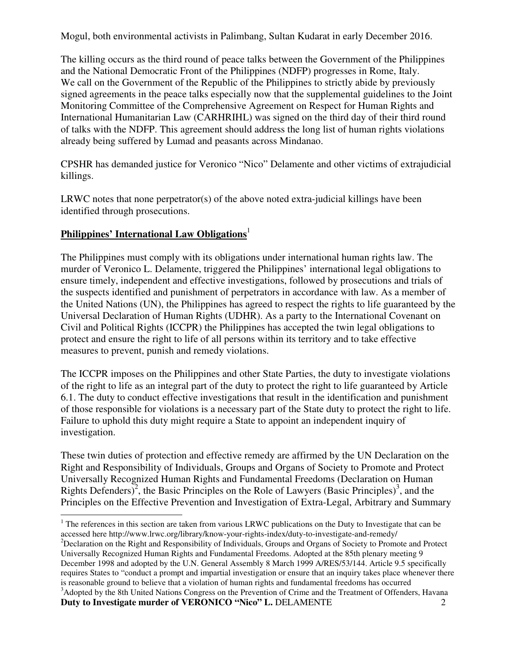Mogul, both environmental activists in Palimbang, Sultan Kudarat in early December 2016.

The killing occurs as the third round of peace talks between the Government of the Philippines and the National Democratic Front of the Philippines (NDFP) progresses in Rome, Italy. We call on the Government of the Republic of the Philippines to strictly abide by previously signed agreements in the peace talks especially now that the supplemental guidelines to the Joint Monitoring Committee of the Comprehensive Agreement on Respect for Human Rights and International Humanitarian Law (CARHRIHL) was signed on the third day of their third round of talks with the NDFP. This agreement should address the long list of human rights violations already being suffered by Lumad and peasants across Mindanao.

CPSHR has demanded justice for Veronico "Nico" Delamente and other victims of extrajudicial killings.

LRWC notes that none perpetrator(s) of the above noted extra-judicial killings have been identified through prosecutions.

#### **Philippines' International Law Obligations**<sup>1</sup>

 $\overline{a}$ 

The Philippines must comply with its obligations under international human rights law. The murder of Veronico L. Delamente, triggered the Philippines' international legal obligations to ensure timely, independent and effective investigations, followed by prosecutions and trials of the suspects identified and punishment of perpetrators in accordance with law. As a member of the United Nations (UN), the Philippines has agreed to respect the rights to life guaranteed by the Universal Declaration of Human Rights (UDHR). As a party to the International Covenant on Civil and Political Rights (ICCPR) the Philippines has accepted the twin legal obligations to protect and ensure the right to life of all persons within its territory and to take effective measures to prevent, punish and remedy violations.

The ICCPR imposes on the Philippines and other State Parties, the duty to investigate violations of the right to life as an integral part of the duty to protect the right to life guaranteed by Article 6.1. The duty to conduct effective investigations that result in the identification and punishment of those responsible for violations is a necessary part of the State duty to protect the right to life. Failure to uphold this duty might require a State to appoint an independent inquiry of investigation.

These twin duties of protection and effective remedy are affirmed by the UN Declaration on the Right and Responsibility of Individuals, Groups and Organs of Society to Promote and Protect Universally Recognized Human Rights and Fundamental Freedoms (Declaration on Human Rights Defenders)<sup>2</sup>, the Basic Principles on the Role of Lawyers (Basic Principles)<sup>3</sup>, and the Principles on the Effective Prevention and Investigation of Extra-Legal, Arbitrary and Summary

 $1$  The references in this section are taken from various LRWC publications on the Duty to Investigate that can be accessed here http://www.lrwc.org/library/know-your-rights-index/duty-to-investigate-and-remedy/

**Duty to Investigate murder of VERONICO "Nico" L. DELAMENTE** 2 <sup>2</sup>Declaration on the Right and Responsibility of Individuals, Groups and Organs of Society to Promote and Protect Universally Recognized Human Rights and Fundamental Freedoms. Adopted at the 85th plenary meeting 9 December 1998 and adopted by the U.N. General Assembly 8 March 1999 A/RES/53/144. Article 9.5 specifically requires States to "conduct a prompt and impartial investigation or ensure that an inquiry takes place whenever there is reasonable ground to believe that a violation of human rights and fundamental freedoms has occurred <sup>3</sup>Adopted by the 8th United Nations Congress on the Prevention of Crime and the Treatment of Offenders, Havana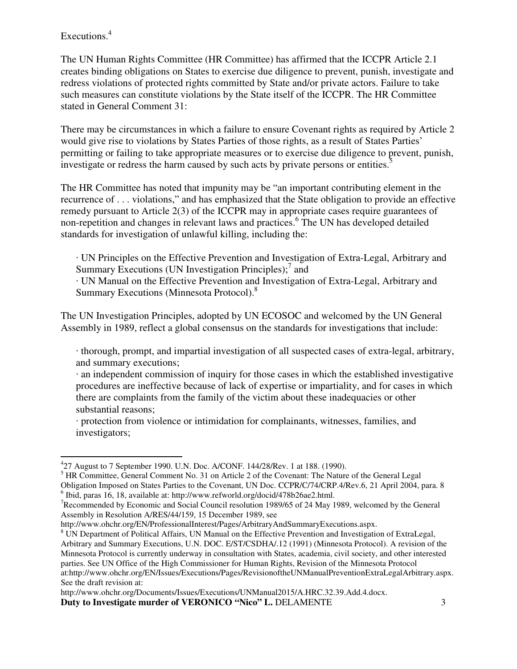### Executions.<sup>4</sup>

 $\overline{a}$ 

The UN Human Rights Committee (HR Committee) has affirmed that the ICCPR Article 2.1 creates binding obligations on States to exercise due diligence to prevent, punish, investigate and redress violations of protected rights committed by State and/or private actors. Failure to take such measures can constitute violations by the State itself of the ICCPR. The HR Committee stated in General Comment 31:

There may be circumstances in which a failure to ensure Covenant rights as required by Article 2 would give rise to violations by States Parties of those rights, as a result of States Parties' permitting or failing to take appropriate measures or to exercise due diligence to prevent, punish, investigate or redress the harm caused by such acts by private persons or entities.<sup>5</sup>

The HR Committee has noted that impunity may be "an important contributing element in the recurrence of . . . violations," and has emphasized that the State obligation to provide an effective remedy pursuant to Article 2(3) of the ICCPR may in appropriate cases require guarantees of non-repetition and changes in relevant laws and practices.<sup>6</sup> The UN has developed detailed standards for investigation of unlawful killing, including the:

· UN Principles on the Effective Prevention and Investigation of Extra-Legal, Arbitrary and Summary Executions (UN Investigation Principles);<sup>7</sup> and

· UN Manual on the Effective Prevention and Investigation of Extra-Legal, Arbitrary and Summary Executions (Minnesota Protocol).<sup>8</sup>

The UN Investigation Principles, adopted by UN ECOSOC and welcomed by the UN General Assembly in 1989, reflect a global consensus on the standards for investigations that include:

· thorough, prompt, and impartial investigation of all suspected cases of extra-legal, arbitrary, and summary executions;

· an independent commission of inquiry for those cases in which the established investigative procedures are ineffective because of lack of expertise or impartiality, and for cases in which there are complaints from the family of the victim about these inadequacies or other substantial reasons;

· protection from violence or intimidation for complainants, witnesses, families, and investigators;

http://www.ohchr.org/EN/ProfessionalInterest/Pages/ArbitraryAndSummaryExecutions.aspx.

http://www.ohchr.org/Documents/Issues/Executions/UNManual2015/A.HRC.32.39.Add.4.docx.

<sup>4</sup> 27 August to 7 September 1990. U.N. Doc. A/CONF. 144/28/Rev. 1 at 188. (1990).

<sup>&</sup>lt;sup>5</sup> HR Committee, General Comment No. 31 on Article 2 of the Covenant: The Nature of the General Legal Obligation Imposed on States Parties to the Covenant, UN Doc. CCPR/C/74/CRP.4/Rev.6, 21 April 2004, para. 8 <sup>6</sup> Ibid, paras 16, 18, available at: http://www.refworld.org/docid/478b26ae2.html.

<sup>7</sup>Recommended by Economic and Social Council resolution 1989/65 of 24 May 1989, welcomed by the General Assembly in Resolution A/RES/44/159, 15 December 1989, see

<sup>&</sup>lt;sup>8</sup> UN Department of Political Affairs, UN Manual on the Effective Prevention and Investigation of ExtraLegal, Arbitrary and Summary Executions, U.N. DOC. E/ST/CSDHA/.12 (1991) (Minnesota Protocol). A revision of the Minnesota Protocol is currently underway in consultation with States, academia, civil society, and other interested parties. See UN Office of the High Commissioner for Human Rights, Revision of the Minnesota Protocol at:http://www.ohchr.org/EN/Issues/Executions/Pages/RevisionoftheUNManualPreventionExtraLegalArbitrary.aspx. See the draft revision at: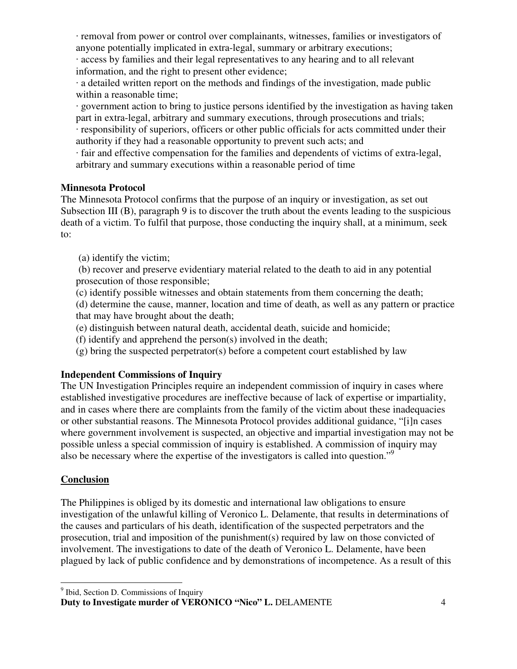· removal from power or control over complainants, witnesses, families or investigators of anyone potentially implicated in extra-legal, summary or arbitrary executions;

· access by families and their legal representatives to any hearing and to all relevant information, and the right to present other evidence;

· a detailed written report on the methods and findings of the investigation, made public within a reasonable time;

· government action to bring to justice persons identified by the investigation as having taken part in extra-legal, arbitrary and summary executions, through prosecutions and trials;

· responsibility of superiors, officers or other public officials for acts committed under their authority if they had a reasonable opportunity to prevent such acts; and

· fair and effective compensation for the families and dependents of victims of extra-legal, arbitrary and summary executions within a reasonable period of time

### **Minnesota Protocol**

The Minnesota Protocol confirms that the purpose of an inquiry or investigation, as set out Subsection III (B), paragraph 9 is to discover the truth about the events leading to the suspicious death of a victim. To fulfil that purpose, those conducting the inquiry shall, at a minimum, seek to:

(a) identify the victim;

 (b) recover and preserve evidentiary material related to the death to aid in any potential prosecution of those responsible;

(c) identify possible witnesses and obtain statements from them concerning the death;

(d) determine the cause, manner, location and time of death, as well as any pattern or practice that may have brought about the death;

(e) distinguish between natural death, accidental death, suicide and homicide;

(f) identify and apprehend the person(s) involved in the death;

(g) bring the suspected perpetrator(s) before a competent court established by law

# **Independent Commissions of Inquiry**

The UN Investigation Principles require an independent commission of inquiry in cases where established investigative procedures are ineffective because of lack of expertise or impartiality, and in cases where there are complaints from the family of the victim about these inadequacies or other substantial reasons. The Minnesota Protocol provides additional guidance, "[i]n cases where government involvement is suspected, an objective and impartial investigation may not be possible unless a special commission of inquiry is established. A commission of inquiry may also be necessary where the expertise of the investigators is called into question."<sup>9</sup>

# **Conclusion**

The Philippines is obliged by its domestic and international law obligations to ensure investigation of the unlawful killing of Veronico L. Delamente, that results in determinations of the causes and particulars of his death, identification of the suspected perpetrators and the prosecution, trial and imposition of the punishment(s) required by law on those convicted of involvement. The investigations to date of the death of Veronico L. Delamente, have been plagued by lack of public confidence and by demonstrations of incompetence. As a result of this

 <sup>9</sup> Ibid, Section D. Commissions of Inquiry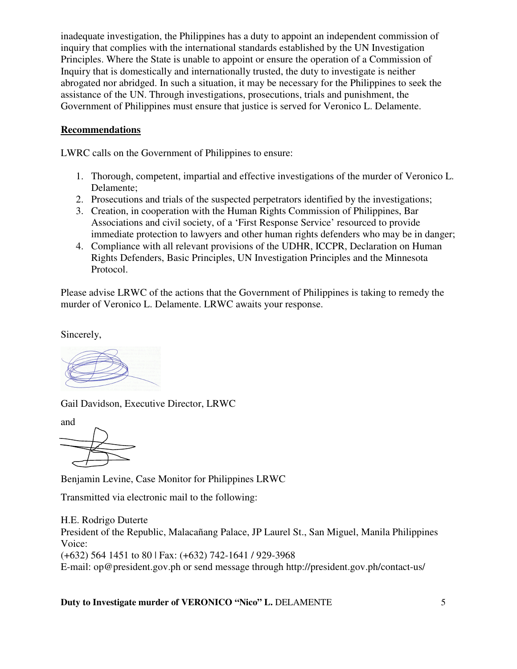inadequate investigation, the Philippines has a duty to appoint an independent commission of inquiry that complies with the international standards established by the UN Investigation Principles. Where the State is unable to appoint or ensure the operation of a Commission of Inquiry that is domestically and internationally trusted, the duty to investigate is neither abrogated nor abridged. In such a situation, it may be necessary for the Philippines to seek the assistance of the UN. Through investigations, prosecutions, trials and punishment, the Government of Philippines must ensure that justice is served for Veronico L. Delamente.

## **Recommendations**

LWRC calls on the Government of Philippines to ensure:

- 1. Thorough, competent, impartial and effective investigations of the murder of Veronico L. Delamente;
- 2. Prosecutions and trials of the suspected perpetrators identified by the investigations;
- 3. Creation, in cooperation with the Human Rights Commission of Philippines, Bar Associations and civil society, of a 'First Response Service' resourced to provide immediate protection to lawyers and other human rights defenders who may be in danger;
- 4. Compliance with all relevant provisions of the UDHR, ICCPR, Declaration on Human Rights Defenders, Basic Principles, UN Investigation Principles and the Minnesota Protocol.

Please advise LRWC of the actions that the Government of Philippines is taking to remedy the murder of Veronico L. Delamente. LRWC awaits your response.

Sincerely,

Gail Davidson, Executive Director, LRWC

and



Benjamin Levine, Case Monitor for Philippines LRWC

Transmitted via electronic mail to the following:

H.E. Rodrigo Duterte President of the Republic, Malacañang Palace, JP Laurel St., San Miguel, Manila Philippines Voice: (+632) 564 1451 to 80 | Fax: (+632) 742-1641 / 929-3968 E-mail: op@president.gov.ph or send message through http://president.gov.ph/contact-us/